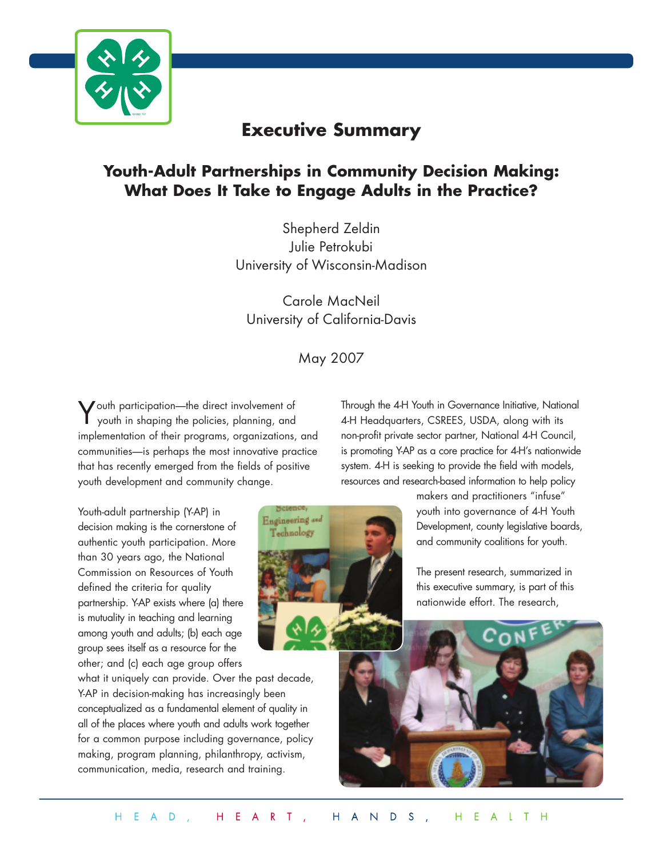

# **Executive Summary**

## **Youth-Adult Partnerships in Community Decision Making: What Does It Take to Engage Adults in the Practice?**

Shepherd Zeldin Julie Petrokubi University of Wisconsin-Madison

Carole MacNeil University of California-Davis

## May 2007

Science, Engineering and Technology

Youth participation—the direct involvement of youth in shaping the policies, planning, and implementation of their programs, organizations, and communities—is perhaps the most innovative practice that has recently emerged from the fields of positive youth development and community change.

Youth-adult partnership (Y-AP) in decision making is the cornerstone of authentic youth participation. More than 30 years ago, the National Commission on Resources of Youth defined the criteria for quality partnership. Y-AP exists where (a) there is mutuality in teaching and learning among youth and adults; (b) each age group sees itself as a resource for the other; and (c) each age group offers

what it uniquely can provide. Over the past decade, Y-AP in decision-making has increasingly been conceptualized as a fundamental element of quality in all of the places where youth and adults work together for a common purpose including governance, policy making, program planning, philanthropy, activism, communication, media, research and training.

Through the 4-H Youth in Governance Initiative, National 4-H Headquarters, CSREES, USDA, along with its non-profit private sector partner, National 4-H Council, is promoting Y-AP as a core practice for 4-H's nationwide system. 4-H is seeking to provide the field with models, resources and research-based information to help policy

> makers and practitioners "infuse" youth into governance of 4-H Youth Development, county legislative boards, and community coalitions for youth.

The present research, summarized in this executive summary, is part of this nationwide effort. The research,

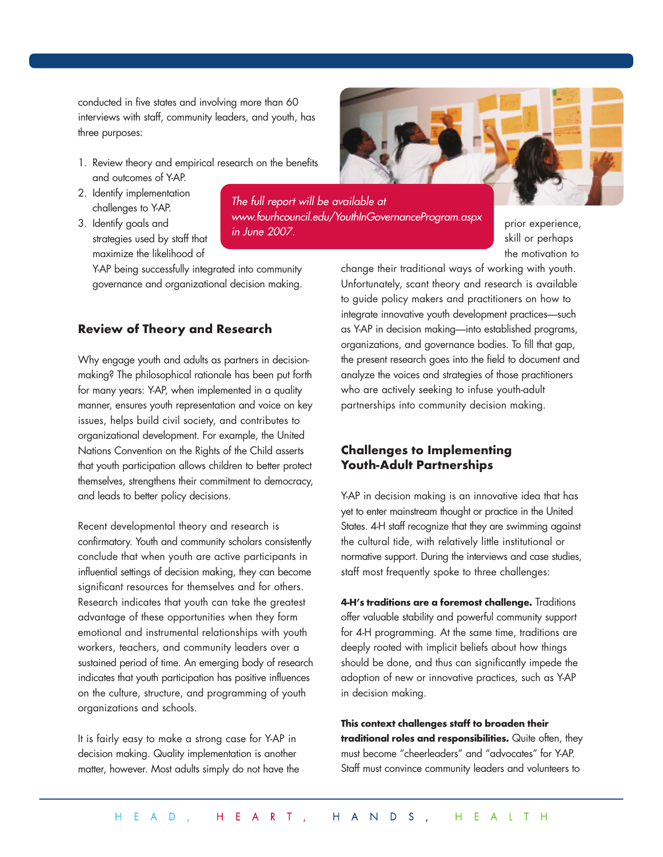conducted in five states and involving more than 60 interviews with staff, community leaders, and youth, has three purposes:

- 1. Review theory and empirical research on the benefits and outcomes of Y-AP.
- 2. Identify implementation challenges to Y-AP.
- 3. Identify goals and strategies used by staff that maximize the likelihood of

Y-AP being successfully integrated into community governance and organizational decision making.

## **Review of Theory and Research**

Why engage youth and adults as partners in decisionmaking? The philosophical rationale has been put forth for many years: Y-AP, when implemented in a quality manner, ensures youth representation and voice on key issues, helps build civil society, and contributes to organizational development. For example, the United Nations Convention on the Rights of the Child asserts that youth participation allows children to better protect themselves, strengthens their commitment to democracy, and leads to better policy decisions.

Recent developmental theory and research is confirmatory. Youth and community scholars consistently conclude that when youth are active participants in influential settings of decision making, they can become significant resources for themselves and for others. Research indicates that youth can take the greatest advantage of these opportunities when they form emotional and instrumental relationships with youth workers, teachers, and community leaders over a sustained period of time. An emerging body of research indicates that youth participation has positive influences on the culture, structure, and programming of youth organizations and schools.

It is fairly easy to make a strong case for Y-AP in decision making. Quality implementation is another matter, however. Most adults simply do not have the



*The full report will be available at www.fourhcouncil.edu/YouthInGovernanceProgram.aspx in June 2007.* 

prior experience, skill or perhaps the motivation to

change their traditional ways of working with youth. Unfortunately, scant theory and research is available to guide policy makers and practitioners on how to integrate innovative youth development practices—such as Y-AP in decision making—into established programs, organizations, and governance bodies. To fill that gap, the present research goes into the field to document and analyze the voices and strategies of those practitioners who are actively seeking to infuse youth-adult partnerships into community decision making.

#### **Challenges to Implementing Youth-Adult Partnerships**

Y-AP in decision making is an innovative idea that has yet to enter mainstream thought or practice in the United States. 4-H staff recognize that they are swimming against the cultural tide, with relatively little institutional or normative support. During the interviews and case studies, staff most frequently spoke to three challenges:

**4-H's traditions are a foremost challenge.** Traditions offer valuable stability and powerful community support for 4-H programming. At the same time, traditions are deeply rooted with implicit beliefs about how things should be done, and thus can significantly impede the adoption of new or innovative practices, such as Y-AP in decision making.

**This context challenges staff to broaden their traditional roles and responsibilities.** Quite often, they must become "cheerleaders" and "advocates" for Y-AP. Staff must convince community leaders and volunteers to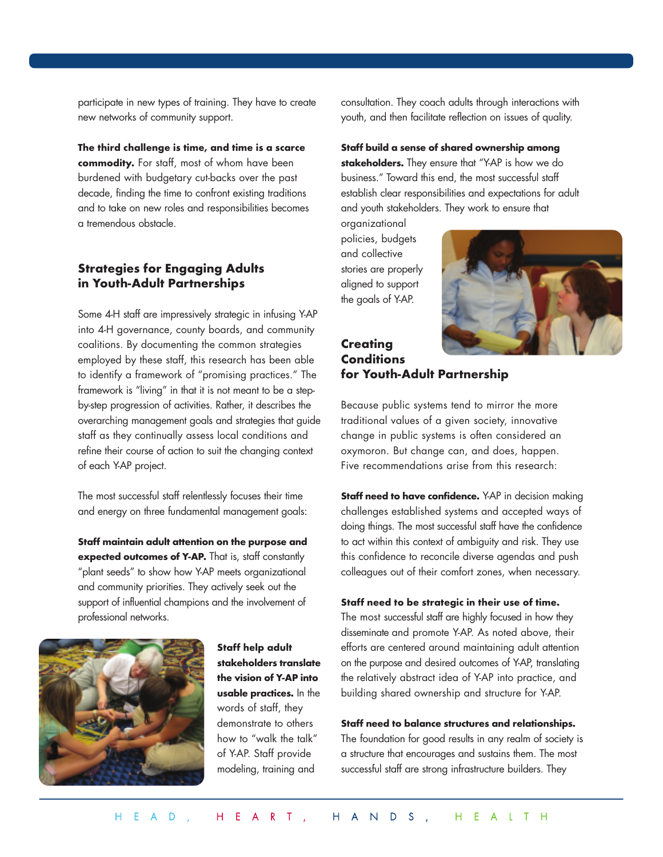participate in new types of training. They have to create new networks of community support.

**The third challenge is time, and time is a scarce commodity.** For staff, most of whom have been burdened with budgetary cut-backs over the past decade, finding the time to confront existing traditions and to take on new roles and responsibilities becomes a tremendous obstacle.

## **Strategies for Engaging Adults in Youth-Adult Partnerships**

Some 4-H staff are impressively strategic in infusing Y-AP into 4-H governance, county boards, and community coalitions. By documenting the common strategies employed by these staff, this research has been able to identify a framework of "promising practices." The framework is "living" in that it is not meant to be a stepby-step progression of activities. Rather, it describes the overarching management goals and strategies that guide staff as they continually assess local conditions and refine their course of action to suit the changing context of each Y-AP project.

The most successful staff relentlessly focuses their time and energy on three fundamental management goals:

**Staff maintain adult attention on the purpose and** expected outcomes of Y-AP. That is, staff constantly "plant seeds" to show how Y-AP meets organizational and community priorities. They actively seek out the support of influential champions and the involvement of professional networks.



**Staff help adult stakeholders translate the vision of Y-AP into usable practices.** In the words of staff, they demonstrate to others how to "walk the talk" of Y-AP. Staff provide modeling, training and

consultation. They coach adults through interactions with youth, and then facilitate reflection on issues of quality.

**Staff build a sense of shared ownership among stakeholders.** They ensure that "Y-AP is how we do business." Toward this end, the most successful staff establish clear responsibilities and expectations for adult and youth stakeholders. They work to ensure that

organizational policies, budgets and collective stories are properly aligned to support the goals of Y-AP.



## **Creating Conditions for Youth-Adult Partnership**

Because public systems tend to mirror the more traditional values of a given society, innovative change in public systems is often considered an oxymoron. But change can, and does, happen. Five recommendations arise from this research:

**Staff need to have confidence.** Y-AP in decision making challenges established systems and accepted ways of doing things. The most successful staff have the confidence to act within this context of ambiguity and risk. They use this confidence to reconcile diverse agendas and push colleagues out of their comfort zones, when necessary.

#### **Staff need to be strategic in their use of time.**

The most successful staff are highly focused in how they disseminate and promote Y-AP. As noted above, their efforts are centered around maintaining adult attention on the purpose and desired outcomes of Y-AP, translating the relatively abstract idea of Y-AP into practice, and building shared ownership and structure for Y-AP.

#### **Staff need to balance structures and relationships.**

The foundation for good results in any realm of society is a structure that encourages and sustains them. The most successful staff are strong infrastructure builders. They